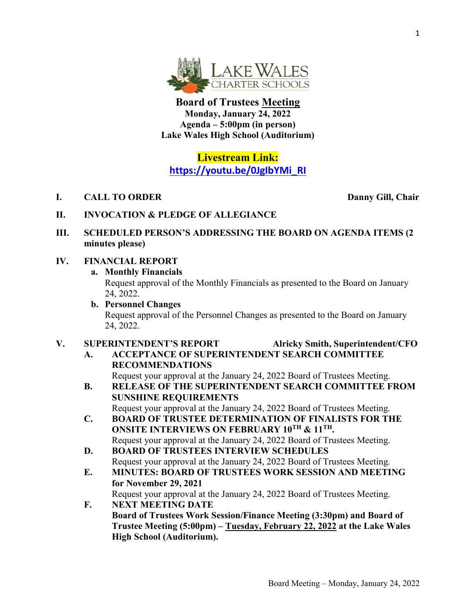

**Board of Trustees Meeting Monday, January 24, 2022 Agenda – 5:00pm (in person) Lake Wales High School (Auditorium)**

## **Livestream Link: [https://youtu.be/0JgIbYMi\\_RI](https://youtu.be/0JgIbYMi_RI)**

**I. CALL TO ORDER Danny Gill, Chair**

- **II. INVOCATION & PLEDGE OF ALLEGIANCE**
- **III. SCHEDULED PERSON'S ADDRESSING THE BOARD ON AGENDA ITEMS (2 minutes please)**

## **IV. FINANCIAL REPORT**

**a. Monthly Financials**

Request approval of the Monthly Financials as presented to the Board on January 24, 2022.

**b. Personnel Changes** Request approval of the Personnel Changes as presented to the Board on January 24, 2022.

## **V. SUPERINTENDENT'S REPORT Alricky Smith, Superintendent/CFO**

**A. ACCEPTANCE OF SUPERINTENDENT SEARCH COMMITTEE RECOMMENDATIONS** 

Request your approval at the January 24, 2022 Board of Trustees Meeting.

**B. RELEASE OF THE SUPERINTENDENT SEARCH COMMITTEE FROM SUNSHINE REQUIREMENTS** 

Request your approval at the January 24, 2022 Board of Trustees Meeting.

- **C. BOARD OF TRUSTEE DETERMINATION OF FINALISTS FOR THE ONSITE INTERVIEWS ON FEBRUARY 10TH & 11TH.**  Request your approval at the January 24, 2022 Board of Trustees Meeting.
- **D. BOARD OF TRUSTEES INTERVIEW SCHEDULES** Request your approval at the January 24, 2022 Board of Trustees Meeting.
- **E. MINUTES: BOARD OF TRUSTEES WORK SESSION AND MEETING for November 29, 2021**  Request your approval at the January 24, 2022 Board of Trustees Meeting.
- **F. NEXT MEETING DATE Board of Trustees Work Session/Finance Meeting (3:30pm) and Board of Trustee Meeting (5:00pm) – Tuesday, February 22, 2022 at the Lake Wales High School (Auditorium).**